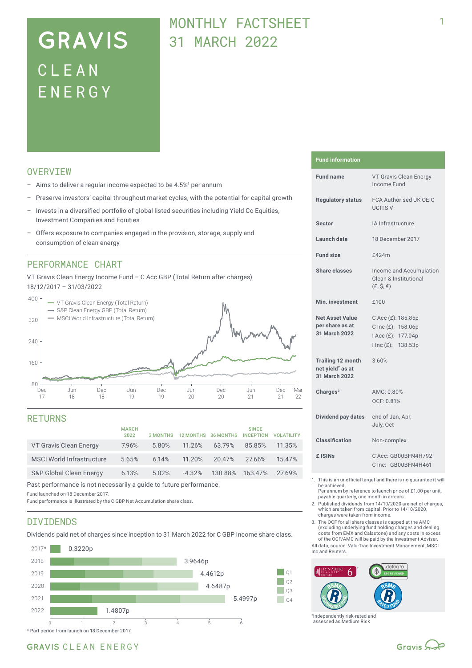# **GRAVIS** CLEA N ENERG Y

## MONTHLY FACTSHEET 31 MARCH 2022

## **OVERVTEW**

- $-$  Aims to deliver a regular income expected to be 4.5%<sup>1</sup> per annum
- Preserve investors' capital throughout market cycles, with the potential for capital growth
- Invests in a diversified portfolio of global listed securities including Yield Co Equities, Investment Companies and Equities
- Offers exposure to companies engaged in the provision, storage, supply and consumption of clean energy

## PERFORMANCE CHART

VT Gravis Clean Energy Income Fund – C Acc GBP (Total Return after charges) 18/12/2017 – 31/03/2022



### RETURNS

|                                    | <b>MARCH</b><br>2022 | 3 MONTHS |          | 12 MONTHS 36 MONTHS | <b>SINCE</b><br><b>INCEPTION</b> | <b>VOI ATILITY</b> |
|------------------------------------|----------------------|----------|----------|---------------------|----------------------------------|--------------------|
| VT Gravis Clean Energy             | 7.96%                | 5.80%    | 11.26%   | 63.79%              | 85.85%                           | 11.35%             |
| <b>MSCI World Infrastructure</b>   | 5.65%                | 6.14%    | 11.20%   | 20.47%              | 27.66%                           | 15.47%             |
| <b>S&amp;P Global Clean Energy</b> | 6.13%                | 5.02%    | $-4.32%$ | 130.88%             | 163.47%                          | 27.69%             |

Past performance is not necessarily a guide to future performance.

Fund launched on 18 December 2017.

Fund performance is illustrated by the C GBP Net Accumulation share class.

### DIVIDENDS

Dividends paid net of charges since inception to 31 March 2022 for C GBP Income share class.



#### **Fund information**

| <b>Fund name</b>                                                          | VT Gravis Clean Energy<br>Income Fund                                                |  |
|---------------------------------------------------------------------------|--------------------------------------------------------------------------------------|--|
| <b>Regulatory status</b>                                                  | <b>FCA Authorised UK OEIC</b><br><b>UCITS V</b>                                      |  |
| <b>Sector</b>                                                             | IA Infrastructure                                                                    |  |
| Launch date                                                               | 18 December 2017                                                                     |  |
| <b>Fund size</b>                                                          | <b>f424m</b>                                                                         |  |
| <b>Share classes</b>                                                      | Income and Accumulation<br>Clean & Institutional<br>$(E, \hat{S}, \epsilon)$         |  |
| Min. investment                                                           | £100                                                                                 |  |
| <b>Net Asset Value</b><br>per share as at<br>31 March 2022                | C Acc (£): 185.85p<br>C Inc (£): 158.06p<br>I Acc (£): 177.04p<br>I Inc (£): 138.53p |  |
| <b>Trailing 12 month</b><br>net yield <sup>2</sup> as at<br>31 March 2022 | 3.60%                                                                                |  |
| Charges <sup>3</sup>                                                      | AMC: 0.80%<br>OCF: 0.81%                                                             |  |
| Dividend pay dates                                                        | end of Jan, Apr,<br>July, Oct                                                        |  |
| <b>Classification</b>                                                     | Non-complex                                                                          |  |
| £ ISIN <sub>S</sub>                                                       | C Acc: GB00BFN4H792<br>C Inc: GB00BFN4H461                                           |  |
|                                                                           |                                                                                      |  |

1. This is an unofficial target and there is no guarantee it will be achieved.

Per annum by reference to launch price of £1.00 per unit, payable quarterly, one month in arrears.

2. Published dividends from 14/10/2020 are net of charges, which are taken from capital. Prior to 14/10/2020, charges were taken from income.

3. The OCF for all share classes is capped at the AMC (excluding underlying fund holding charges and dealing costs from EMX and Calastone) and any costs in excess of the OCF/AMC will be paid by the Investment Adviser.

All data, source: Valu-Trac Investment Management, MSCI Inc and Reuters.



†Independently risk-rated and assessed as Medium Risk

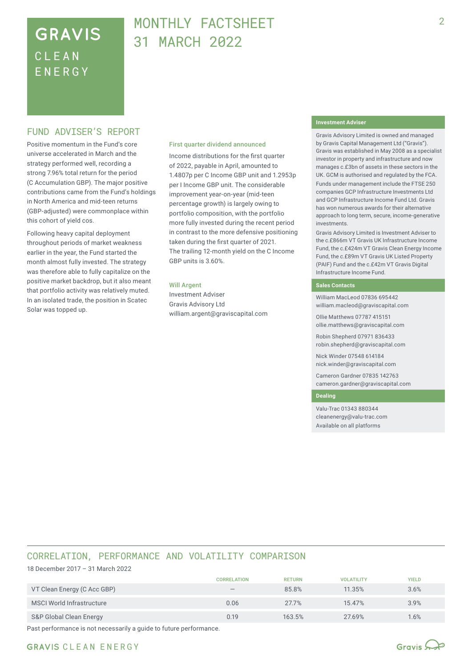## **GRAVIS** CLEA N ENERG Y

## MONTHLY FACTSHEFT 31 MARCH 2022

### FUND ADVISER'S REPORT

Positive momentum in the Fund's core universe accelerated in March and the strategy performed well, recording a strong 7.96% total return for the period (C Accumulation GBP). The major positive contributions came from the Fund's holdings in North America and mid-teen returns (GBP‑adjusted) were commonplace within this cohort of yield cos.

Following heavy capital deployment throughout periods of market weakness earlier in the year, the Fund started the month almost fully invested. The strategy was therefore able to fully capitalize on the positive market backdrop, but it also meant that portfolio activity was relatively muted. In an isolated trade, the position in Scatec Solar was topped up.

#### First quarter dividend announced

Income distributions for the first quarter of 2022, payable in April, amounted to 1.4807p per C Income GBP unit and 1.2953p per I Income GBP unit. The considerable improvement year-on-year (mid-teen percentage growth) is largely owing to portfolio composition, with the portfolio more fully invested during the recent period in contrast to the more defensive positioning taken during the first quarter of 2021. The trailing 12-month yield on the C Income GBP units is 3.60%.

#### Will Argent

Investment Adviser Gravis Advisory Ltd william.argent@graviscapital.com

#### **Investment Adviser**

Gravis Advisory Limited is owned and managed by Gravis Capital Management Ltd ("Gravis"). Gravis was established in May 2008 as a specialist investor in property and infrastructure and now manages c.£3bn of assets in these sectors in the UK. GCM is authorised and regulated by the FCA.

Funds under management include the FTSE 250 companies GCP Infrastructure Investments Ltd and GCP Infrastructure Income Fund Ltd. Gravis has won numerous awards for their alternative approach to long term, secure, income-generative investments.

Gravis Advisory Limited is Investment Adviser to the c.£866m VT Gravis UK Infrastructure Income Fund, the c.£424m VT Gravis Clean Energy Income Fund, the c.£89m VT Gravis UK Listed Property (PAIF) Fund and the c.£42m VT Gravis Digital Infrastructure Income Fund.

#### **Sales Contacts**

William MacLeod 07836 695442 william.macleod@graviscapital.com

Ollie Matthews 07787 415151 ollie.matthews@graviscapital.com

Robin Shepherd 07971 836433 robin.shepherd@graviscapital.com

Nick Winder 07548 614184 nick.winder@graviscapital.com

Cameron Gardner 07835 142763 cameron.gardner@graviscapital.com

#### **Dealing**

Valu-Trac 01343 880344 cleanenergy@valu-trac.com Available on all platforms

### CORRELATION, PERFORMANCE AND VOLATILITY COMPARISON

18 December 2017 – 31 March 2022

|                             | <b>CORRELATION</b>              | <b>RETURN</b> | <b>VOLATILITY</b> | <b>YIELD</b> |
|-----------------------------|---------------------------------|---------------|-------------------|--------------|
| VT Clean Energy (C Acc GBP) | $\hspace{0.1mm}-\hspace{0.1mm}$ | 85.8%         | 11.35%            | 3.6%         |
| MSCI World Infrastructure   | 0.06                            | 27.7%         | 15.47%            | 3.9%         |
| S&P Global Clean Energy     | 0.19                            | 163.5%        | 27.69%            | 1.6%         |

Past performance is not necessarily a guide to future performance.